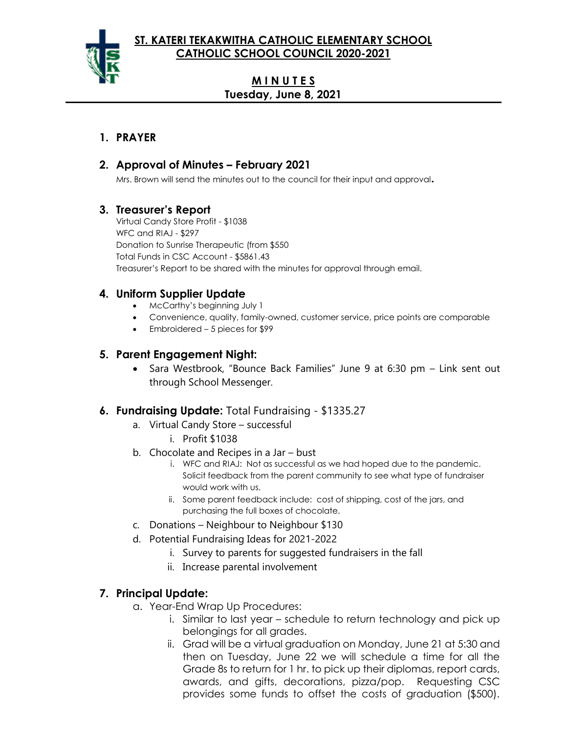

# **M I N U T E S Tuesday, June 8, 2021**

### **1. PRAYER**

## **2. Approval of Minutes – February 2021**

Mrs. Brown will send the minutes out to the council for their input and approval**.**

## **3. Treasurer's Report**

Virtual Candy Store Profit - \$1038 WFC and RIAJ - \$297 Donation to Sunrise Therapeutic (from \$550 Total Funds in CSC Account - \$5861.43 Treasurer's Report to be shared with the minutes for approval through email.

# **4. Uniform Supplier Update**

- McCarthy's beginning July 1
- Convenience, quality, family-owned, customer service, price points are comparable
- Embroidered 5 pieces for \$99

### **5. Parent Engagement Night:**

• Sara Westbrook, "Bounce Back Families" June 9 at 6:30 pm – Link sent out through School Messenger.

### **6. Fundraising Update:** Total Fundraising - \$1335.27

- a. Virtual Candy Store successful
	- i. Profit \$1038
- b. Chocolate and Recipes in a Jar bust
	- i. WFC and RIAJ: Not as successful as we had hoped due to the pandemic. Solicit feedback from the parent community to see what type of fundraiser would work with us.
	- ii. Some parent feedback include: cost of shipping, cost of the jars, and purchasing the full boxes of chocolate.
- c. Donations Neighbour to Neighbour \$130
- d. Potential Fundraising Ideas for 2021-2022
	- i. Survey to parents for suggested fundraisers in the fall
	- ii. Increase parental involvement

# **7. Principal Update:**

- a. Year-End Wrap Up Procedures:
	- i. Similar to last year schedule to return technology and pick up belongings for all grades.
	- ii. Grad will be a virtual graduation on Monday, June 21 at 5:30 and then on Tuesday, June 22 we will schedule a time for all the Grade 8s to return for 1 hr. to pick up their diplomas, report cards, awards, and gifts, decorations, pizza/pop. Requesting CSC provides some funds to offset the costs of graduation (\$500).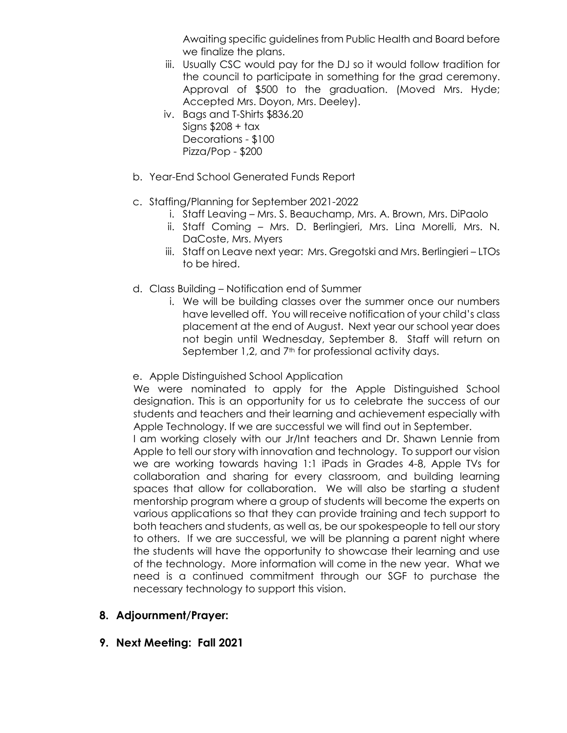Awaiting specific guidelines from Public Health and Board before we finalize the plans.

- iii. Usually CSC would pay for the DJ so it would follow tradition for the council to participate in something for the grad ceremony. Approval of \$500 to the graduation. (Moved Mrs. Hyde; Accepted Mrs. Doyon, Mrs. Deeley).
- iv. Bags and T-Shirts \$836.20 Signs \$208 + tax Decorations - \$100 Pizza/Pop - \$200
- b. Year-End School Generated Funds Report
- c. Staffing/Planning for September 2021-2022
	- i. Staff Leaving Mrs. S. Beauchamp, Mrs. A. Brown, Mrs. DiPaolo
	- ii. Staff Coming Mrs. D. Berlingieri, Mrs. Lina Morelli, Mrs. N. DaCoste, Mrs. Myers
	- iii. Staff on Leave next year: Mrs. Gregotski and Mrs. Berlingieri LTOs to be hired.
- d. Class Building Notification end of Summer
	- i. We will be building classes over the summer once our numbers have levelled off. You will receive notification of your child's class placement at the end of August. Next year our school year does not begin until Wednesday, September 8. Staff will return on September 1,2, and 7<sup>th</sup> for professional activity days.
- e. Apple Distinguished School Application

We were nominated to apply for the Apple Distinguished School designation. This is an opportunity for us to celebrate the success of our students and teachers and their learning and achievement especially with Apple Technology. If we are successful we will find out in September.

I am working closely with our Jr/Int teachers and Dr. Shawn Lennie from Apple to tell our story with innovation and technology. To support our vision we are working towards having 1:1 iPads in Grades 4-8, Apple TVs for collaboration and sharing for every classroom, and building learning spaces that allow for collaboration. We will also be starting a student mentorship program where a group of students will become the experts on various applications so that they can provide training and tech support to both teachers and students, as well as, be our spokespeople to tell our story to others. If we are successful, we will be planning a parent night where the students will have the opportunity to showcase their learning and use of the technology. More information will come in the new year. What we need is a continued commitment through our SGF to purchase the necessary technology to support this vision.

#### **8. Adjournment/Prayer:**

**9. Next Meeting: Fall 2021**